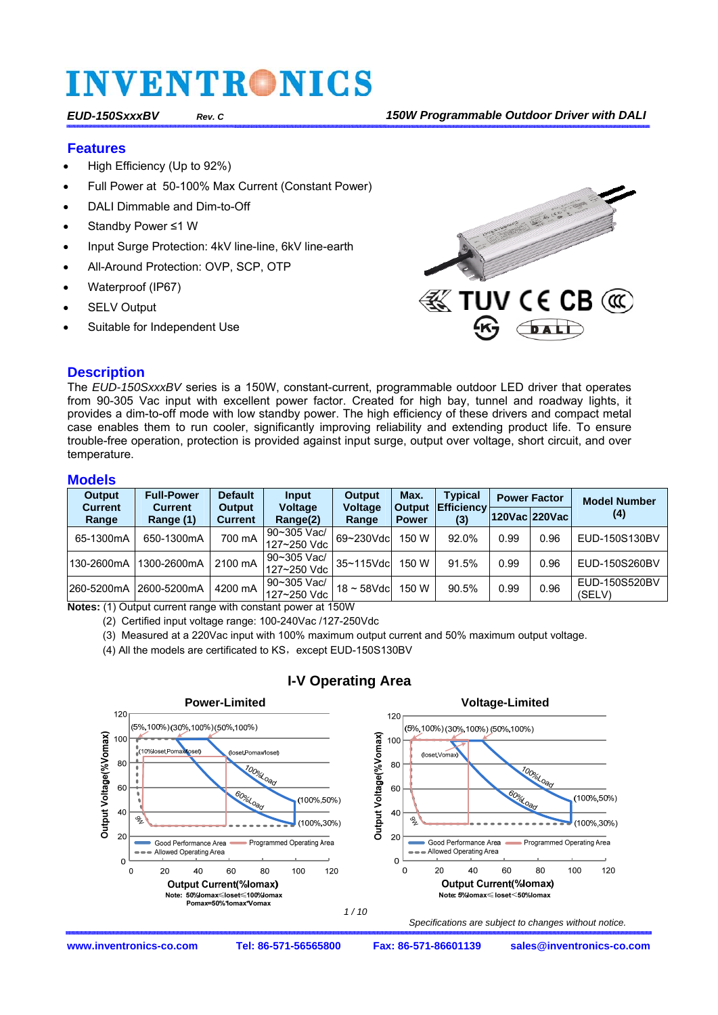#### **Features**

- High Efficiency (Up to 92%)
- Full Power at 50-100% Max Current (Constant Power)
- DALI Dimmable and Dim-to-Off
- Standby Power ≤1 W
- Input Surge Protection: 4kV line-line, 6kV line-earth
- All-Around Protection: OVP, SCP, OTP
- Waterproof (IP67)
- **SELV Output**
- Suitable for Independent Use



#### **Description**

The *EUD-150SxxxBV* series is a 150W, constant-current, programmable outdoor LED driver that operates from 90-305 Vac input with excellent power factor. Created for high bay, tunnel and roadway lights, it provides a dim-to-off mode with low standby power. The high efficiency of these drivers and compact metal case enables them to run cooler, significantly improving reliability and extending product life. To ensure trouble-free operation, protection is provided against input surge, output over voltage, short circuit, and over temperature.

#### **Models**

| <b>Output</b>           | <b>Full-Power</b>           | <b>Default</b>           | <b>Input</b>               | <b>Output</b>           | Max.                          | Typical                  | <b>Power Factor</b> |               | <b>Model Number</b>     |
|-------------------------|-----------------------------|--------------------------|----------------------------|-------------------------|-------------------------------|--------------------------|---------------------|---------------|-------------------------|
| <b>Current</b><br>Range | <b>Current</b><br>Range (1) | Output<br><b>Current</b> | <b>Voltage</b><br>Range(2) | <b>Voltage</b><br>Range | <b>Output</b><br><b>Power</b> | <b>Efficiency</b><br>(3) |                     | 120Vac 220Vac | (4)                     |
| 65-1300mA               | 650-1300mA                  | 700 mA                   | 90~305 Vac/<br>127~250 Vdc | 69~230Vdc               | 150 W                         | 92.0%                    | 0.99                | 0.96          | EUD-150S130BV           |
| 130-2600mA              | 1300-2600mA                 | 2100 mA                  | 90~305 Vac/<br>127~250 Vdc | 35~115Vdc               | 150 W                         | 91.5%                    | 0.99                | 0.96          | EUD-150S260BV           |
| 260-5200mA              | 2600-5200mA                 | 4200 mA                  | 90~305 Vac/<br>127~250 Vdc | $18 \sim 58$ Vdc        | 150 W                         | 90.5%                    | 0.99                | 0.96          | EUD-150S520BV<br>(SELV) |

**Notes:** (1) Output current range with constant power at 150W

(2) Certified input voltage range: 100-240Vac /127-250Vdc

(3) Measured at a 220Vac input with 100% maximum output current and 50% maximum output voltage.

(4) All the models are certificated to KS, except EUD-150S130BV



#### **I-V Operating Area**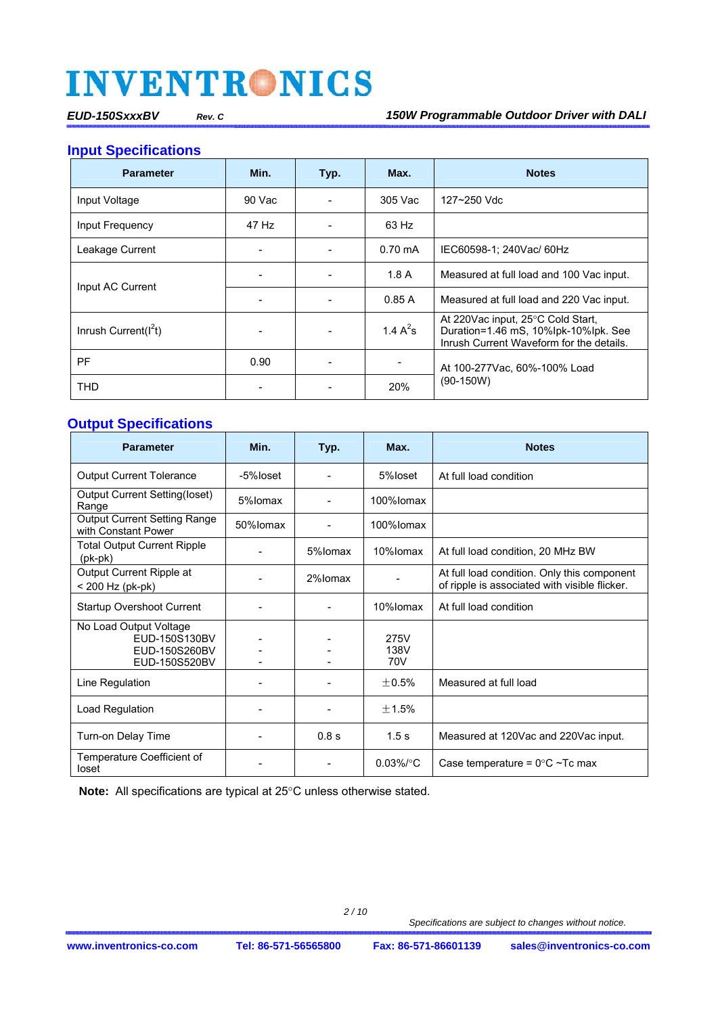**Input Specifications** 

| <b>Parameter</b>        | Min.   | Typ. | Max.              | <b>Notes</b>                                                                                                          |  |
|-------------------------|--------|------|-------------------|-----------------------------------------------------------------------------------------------------------------------|--|
| Input Voltage           | 90 Vac |      | 305 Vac           | 127~250 Vdc                                                                                                           |  |
| Input Frequency         | 47 Hz  |      | 63 Hz             |                                                                                                                       |  |
| Leakage Current         |        |      | $0.70 \text{ mA}$ | IEC60598-1; 240Vac/ 60Hz                                                                                              |  |
|                         |        |      | 1.8A              | Measured at full load and 100 Vac input.                                                                              |  |
| Input AC Current        |        |      | 0.85A             | Measured at full load and 220 Vac input.                                                                              |  |
| Inrush Current( $I2t$ ) |        |      | 1.4 $A^2s$        | At 220Vac input, 25°C Cold Start,<br>Duration=1.46 mS, 10%lpk-10%lpk. See<br>Inrush Current Waveform for the details. |  |
| <b>PF</b>               | 0.90   |      |                   | At 100-277 Vac, 60%-100% Load                                                                                         |  |
| <b>THD</b>              |        |      | 20%               | $(90-150W)$                                                                                                           |  |

#### **Output Specifications**

| <b>Parameter</b>                                                          | Min.     | Typ.    | Max.                | <b>Notes</b>                                                                                 |
|---------------------------------------------------------------------------|----------|---------|---------------------|----------------------------------------------------------------------------------------------|
| <b>Output Current Tolerance</b>                                           | -5%loset |         | 5%loset             | At full load condition                                                                       |
| Output Current Setting(loset)<br>Range                                    | 5%lomax  |         | 100%lomax           |                                                                                              |
| <b>Output Current Setting Range</b><br>with Constant Power                | 50%lomax |         | 100%lomax           |                                                                                              |
| <b>Total Output Current Ripple</b><br>(pk-pk)                             |          | 5%lomax | 10%lomax            | At full load condition, 20 MHz BW                                                            |
| Output Current Ripple at<br>< 200 Hz (pk-pk)                              |          | 2%lomax |                     | At full load condition. Only this component<br>of ripple is associated with visible flicker. |
| <b>Startup Overshoot Current</b>                                          |          |         | 10%lomax            | At full load condition                                                                       |
| No Load Output Voltage<br>EUD-150S130BV<br>EUD-150S260BV<br>EUD-150S520BV |          |         | 275V<br>138V<br>70V |                                                                                              |
| Line Regulation                                                           |          |         | $+0.5%$             | Measured at full load                                                                        |
| Load Regulation                                                           |          |         | $+1.5%$             |                                                                                              |
| Turn-on Delay Time                                                        |          | 0.8 s   | 1.5 <sub>s</sub>    | Measured at 120Vac and 220Vac input.                                                         |
| Temperature Coefficient of<br>loset                                       |          |         | $0.03\%$ /°C        | Case temperature = $0^{\circ}$ C ~Tc max                                                     |

Note: All specifications are typical at 25°C unless otherwise stated.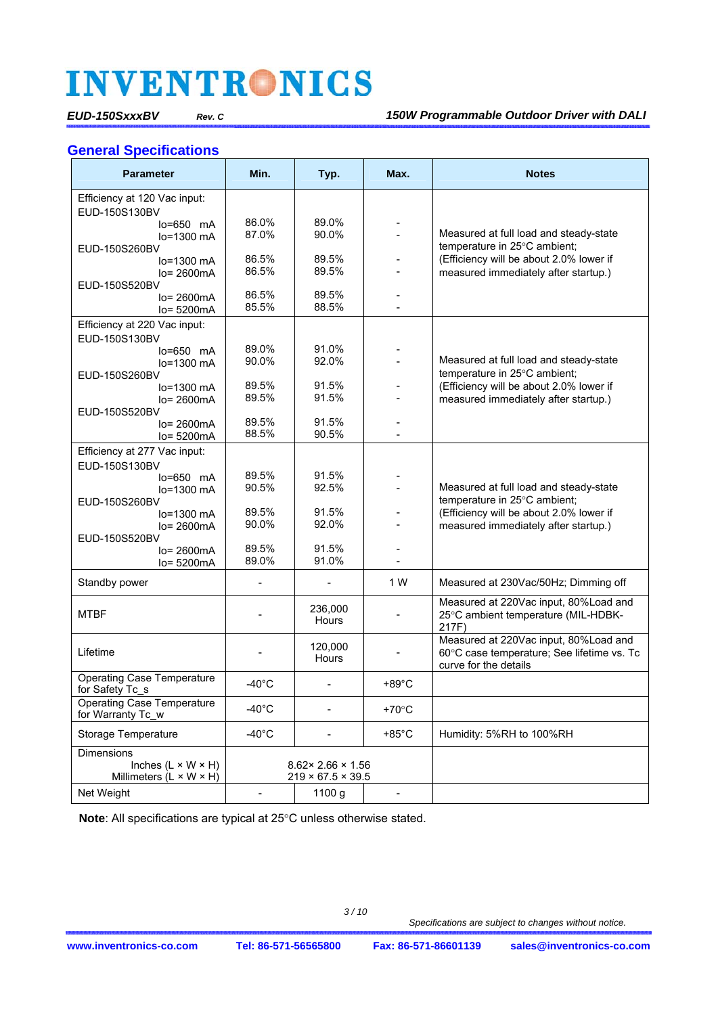#### **General Specifications**

| <b>Parameter</b>                    | Min.                     | Typ.                           | Max.            | <b>Notes</b>                                                           |
|-------------------------------------|--------------------------|--------------------------------|-----------------|------------------------------------------------------------------------|
| Efficiency at 120 Vac input:        |                          |                                |                 |                                                                        |
| EUD-150S130BV                       |                          |                                |                 |                                                                        |
| $lo=650$ mA                         | 86.0%                    | 89.0%                          |                 |                                                                        |
| lo=1300 mA                          | 87.0%                    | 90.0%                          |                 | Measured at full load and steady-state<br>temperature in 25°C ambient; |
| EUD-150S260BV<br>$lo=1300$ mA       | 86.5%                    | 89.5%                          |                 | (Efficiency will be about 2.0% lower if                                |
| $lo = 2600mA$                       | 86.5%                    | 89.5%                          |                 | measured immediately after startup.)                                   |
| EUD-150S520BV                       |                          |                                |                 |                                                                        |
| lo= 2600mA                          | 86.5%                    | 89.5%                          |                 |                                                                        |
| lo= 5200mA                          | 85.5%                    | 88.5%                          |                 |                                                                        |
| Efficiency at 220 Vac input:        |                          |                                |                 |                                                                        |
| EUD-150S130BV                       |                          |                                |                 |                                                                        |
| $lo=650$ mA                         | 89.0%                    | 91.0%                          |                 |                                                                        |
| lo=1300 mA                          | 90.0%                    | 92.0%                          |                 | Measured at full load and steady-state<br>temperature in 25°C ambient; |
| EUD-150S260BV<br>lo=1300 mA         | 89.5%                    | 91.5%                          |                 | (Efficiency will be about 2.0% lower if                                |
| $Io = 2600mA$                       | 89.5%                    | 91.5%                          |                 | measured immediately after startup.)                                   |
| EUD-150S520BV                       |                          |                                |                 |                                                                        |
| $Io = 2600mA$                       | 89.5%                    | 91.5%                          |                 |                                                                        |
| $Io = 5200mA$                       | 88.5%                    | 90.5%                          |                 |                                                                        |
| Efficiency at 277 Vac input:        |                          |                                |                 |                                                                        |
| EUD-150S130BV                       |                          |                                |                 |                                                                        |
| $lo=650$ mA                         | 89.5%<br>90.5%           | 91.5%<br>92.5%                 |                 | Measured at full load and steady-state                                 |
| lo=1300 mA                          |                          |                                |                 | temperature in 25°C ambient;                                           |
| EUD-150S260BV<br>$lo=1300$ mA       | 89.5%                    | 91.5%                          |                 | (Efficiency will be about 2.0% lower if                                |
| $lo = 2600mA$                       | 90.0%                    | 92.0%                          |                 | measured immediately after startup.)                                   |
| EUD-150S520BV                       |                          |                                |                 |                                                                        |
| $Io = 2600mA$                       | 89.5%                    | 91.5%                          |                 |                                                                        |
| lo= 5200mA                          | 89.0%                    | 91.0%                          |                 |                                                                        |
| Standby power                       | ÷                        |                                | 1 W             | Measured at 230Vac/50Hz; Dimming off                                   |
|                                     |                          |                                |                 | Measured at 220Vac input, 80%Load and                                  |
| <b>MTBF</b>                         |                          | 236,000<br>Hours               |                 | 25°C ambient temperature (MIL-HDBK-                                    |
|                                     |                          |                                |                 | 217F)                                                                  |
|                                     |                          | 120,000                        |                 | Measured at 220Vac input, 80%Load and                                  |
| Lifetime                            |                          | <b>Hours</b>                   |                 | 60°C case temperature; See lifetime vs. Tc<br>curve for the details    |
| <b>Operating Case Temperature</b>   |                          |                                |                 |                                                                        |
| for Safety Tc_s                     | $-40^{\circ}$ C          | $\blacksquare$                 | $+89^{\circ}$ C |                                                                        |
| Operating Case Temperature          | $-40^{\circ}$ C          |                                | $+70^{\circ}$ C |                                                                        |
| for Warranty Tc w                   |                          |                                |                 |                                                                        |
| <b>Storage Temperature</b>          | $-40^{\circ}$ C          | $\overline{\phantom{0}}$       | $+85^{\circ}$ C | Humidity: 5%RH to 100%RH                                               |
| Dimensions                          |                          |                                |                 |                                                                        |
| Inches $(L \times W \times H)$      |                          | $8.62 \times 2.66 \times 1.56$ |                 |                                                                        |
| Millimeters $(L \times W \times H)$ |                          | $219 \times 67.5 \times 39.5$  |                 |                                                                        |
| Net Weight                          | $\overline{\phantom{0}}$ | 1100 g                         | $\blacksquare$  |                                                                        |

**Note**: All specifications are typical at 25°C unless otherwise stated.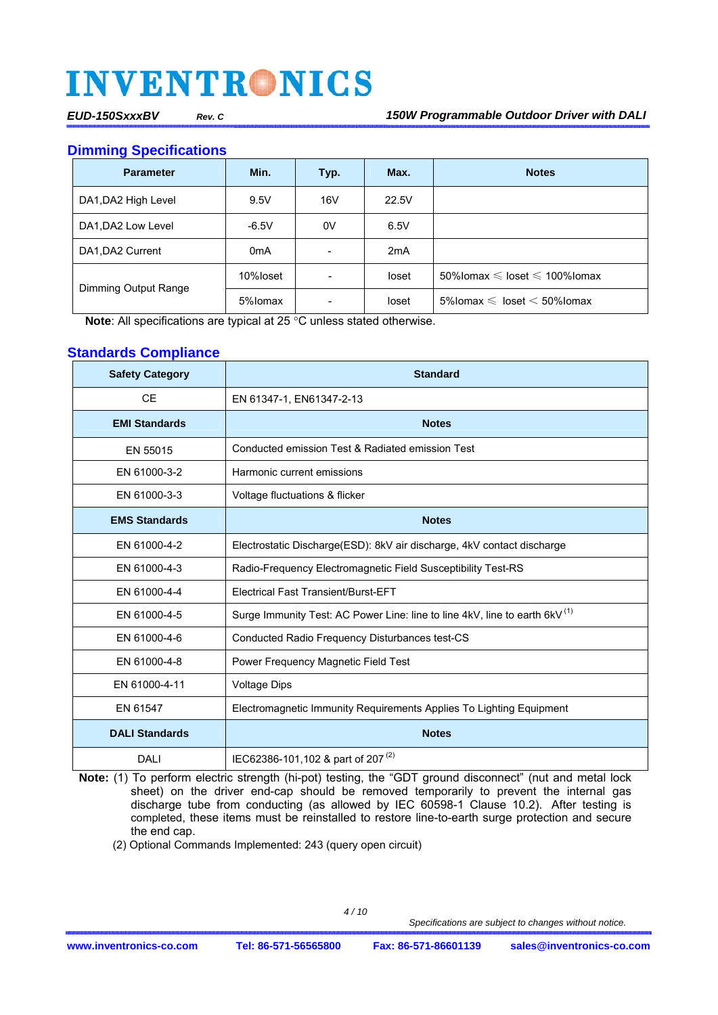**Dimming Specifications** 

| <b>Parameter</b>     | Min.             | Typ. | Max.  | <b>Notes</b>                                |
|----------------------|------------------|------|-------|---------------------------------------------|
| DA1, DA2 High Level  | 9.5V             | 16V  | 22.5V |                                             |
| DA1, DA2 Low Level   | $-6.5V$          | 0V   | 6.5V  |                                             |
| DA1, DA2 Current     | 0 <sub>m</sub> A |      | 2mA   |                                             |
|                      | 10%loset         |      | loset | 50% lomax $\leq$ loset $\leq$ 100% lomax    |
| Dimming Output Range | 5%lomax          |      | loset | $5\%$ lomax $\leqslant$ loset $<$ 50% lomax |

**Note:** All specifications are typical at 25 °C unless stated otherwise.

#### **Standards Compliance**

| <b>Safety Category</b> | <b>Standard</b>                                                                        |  |  |  |  |
|------------------------|----------------------------------------------------------------------------------------|--|--|--|--|
| <b>CE</b>              | EN 61347-1, EN61347-2-13                                                               |  |  |  |  |
| <b>EMI Standards</b>   | <b>Notes</b>                                                                           |  |  |  |  |
| EN 55015               | Conducted emission Test & Radiated emission Test                                       |  |  |  |  |
| EN 61000-3-2           | Harmonic current emissions                                                             |  |  |  |  |
| EN 61000-3-3           | Voltage fluctuations & flicker                                                         |  |  |  |  |
| <b>EMS Standards</b>   | <b>Notes</b>                                                                           |  |  |  |  |
| EN 61000-4-2           | Electrostatic Discharge (ESD): 8kV air discharge, 4kV contact discharge                |  |  |  |  |
| EN 61000-4-3           | Radio-Frequency Electromagnetic Field Susceptibility Test-RS                           |  |  |  |  |
| EN 61000-4-4           | <b>Electrical Fast Transient/Burst-EFT</b>                                             |  |  |  |  |
| EN 61000-4-5           | Surge Immunity Test: AC Power Line: line to line 4kV, line to earth 6kV <sup>(1)</sup> |  |  |  |  |
| EN 61000-4-6           | Conducted Radio Frequency Disturbances test-CS                                         |  |  |  |  |
| EN 61000-4-8           | Power Frequency Magnetic Field Test                                                    |  |  |  |  |
| EN 61000-4-11          | <b>Voltage Dips</b>                                                                    |  |  |  |  |
| EN 61547               | Electromagnetic Immunity Requirements Applies To Lighting Equipment                    |  |  |  |  |
| <b>DALI Standards</b>  | <b>Notes</b>                                                                           |  |  |  |  |
| DALI                   | IEC62386-101,102 & part of 207 <sup>(2)</sup>                                          |  |  |  |  |

**Note:** (1) To perform electric strength (hi-pot) testing, the "GDT ground disconnect" (nut and metal lock sheet) on the driver end-cap should be removed temporarily to prevent the internal gas discharge tube from conducting (as allowed by IEC 60598-1 Clause 10.2). After testing is completed, these items must be reinstalled to restore line-to-earth surge protection and secure the end cap.

(2) Optional Commands Implemented: 243 (query open circuit)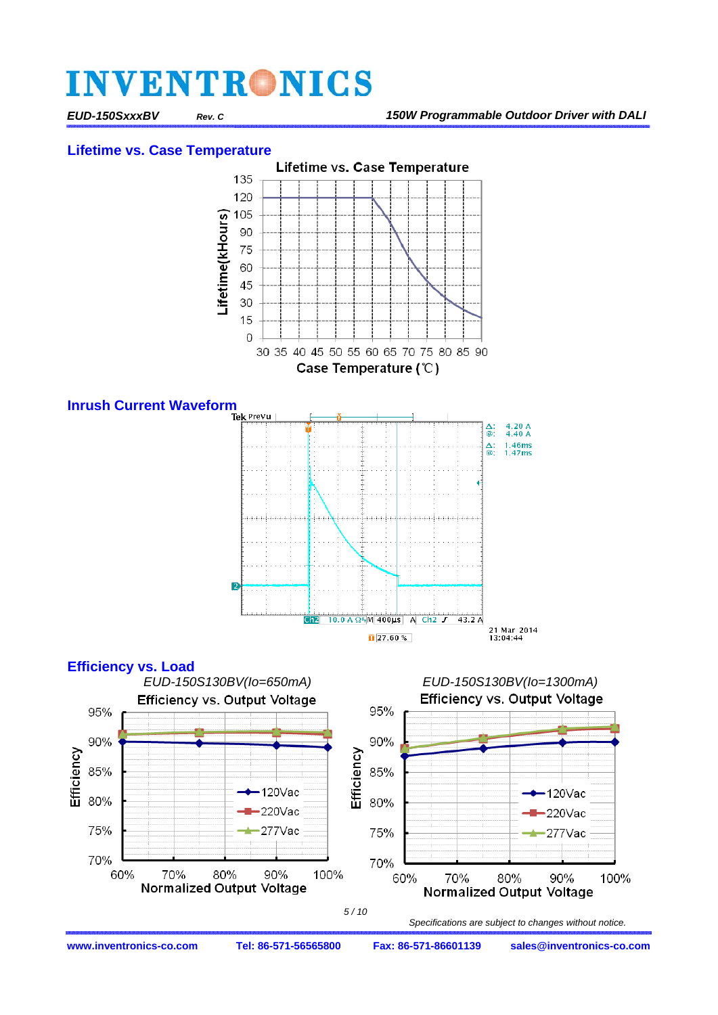*EUD-150SxxxBV Rev. C 150W Programmable Outdoor Driver with DALI* 

75%

70%

60%





70%

 *Specifications are subject to changes without notice.* 

80%

**Normalized Output Voltage** 

277Vac

90%

100%

 *5 / 10*

100%

75%

70%

60%

277Vac

90%

80%

**Normalized Output Voltage** 

70%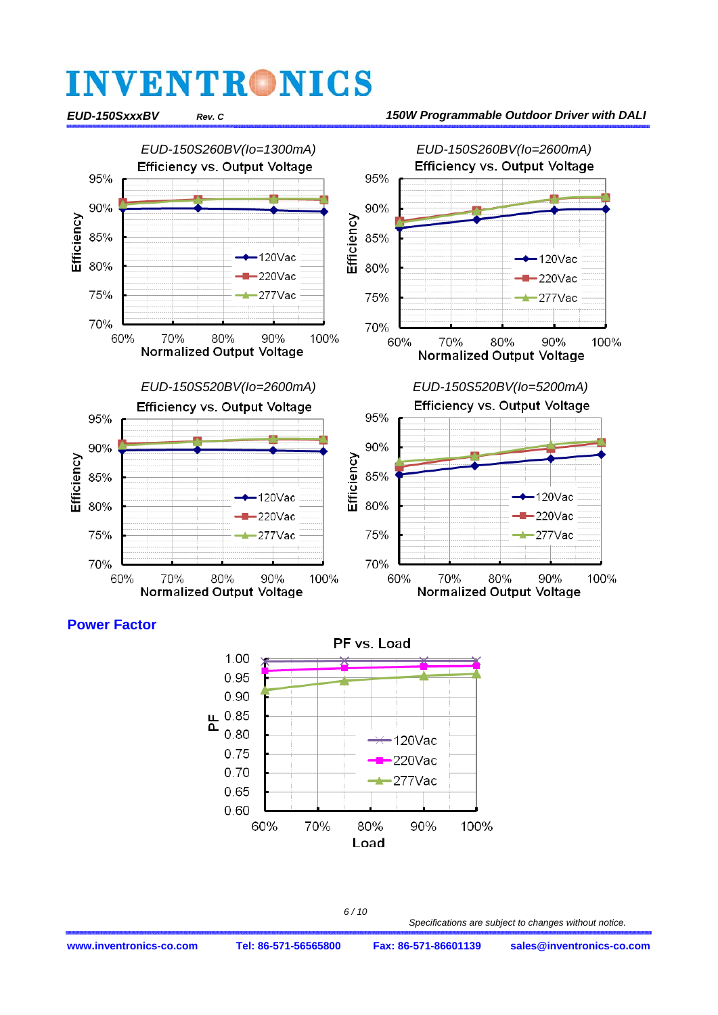

#### **Power Factor**



 *6 / 10*

 *Specifications are subject to changes without notice.*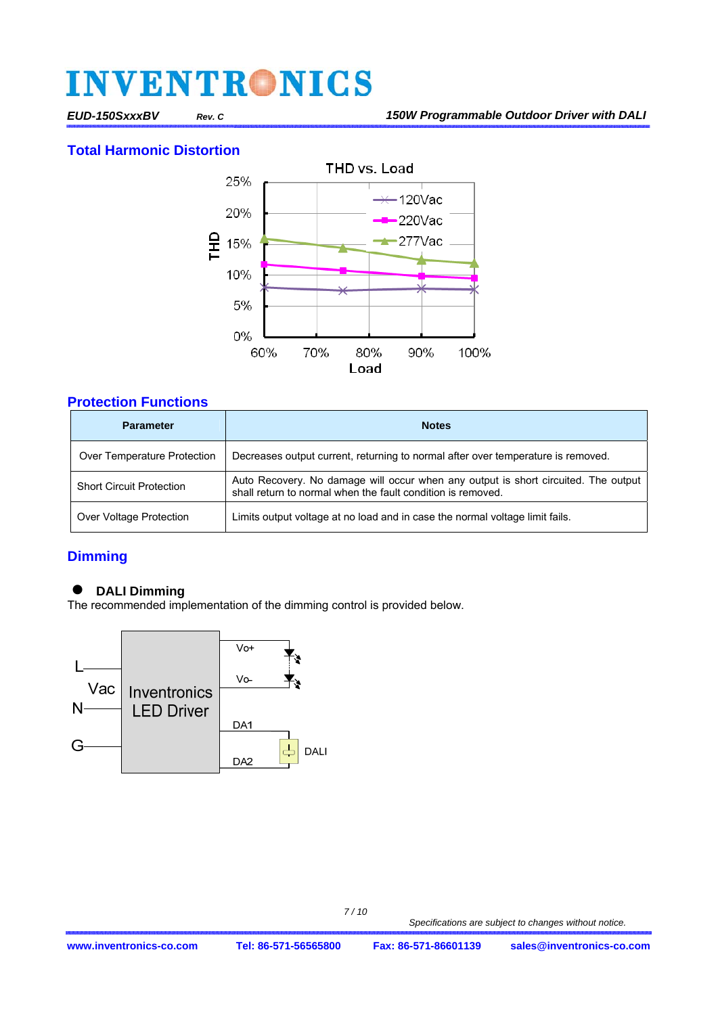#### **Total Harmonic Distortion**



#### **Protection Functions**

| <b>Parameter</b>                | <b>Notes</b>                                                                                                                                      |  |  |  |  |
|---------------------------------|---------------------------------------------------------------------------------------------------------------------------------------------------|--|--|--|--|
| Over Temperature Protection     | Decreases output current, returning to normal after over temperature is removed.                                                                  |  |  |  |  |
| <b>Short Circuit Protection</b> | Auto Recovery. No damage will occur when any output is short circuited. The output<br>shall return to normal when the fault condition is removed. |  |  |  |  |
| Over Voltage Protection         | Limits output voltage at no load and in case the normal voltage limit fails.                                                                      |  |  |  |  |

### **Dimming**

#### **DALI Dimming**

The recommended implementation of the dimming control is provided below.

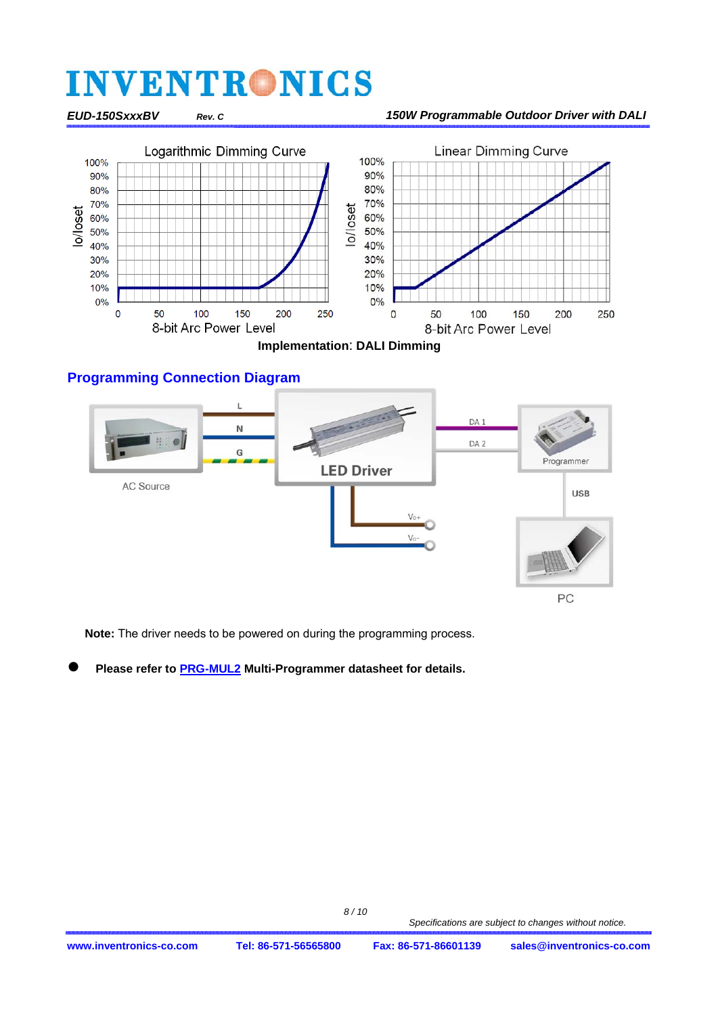#### *EUD-150SxxxBV Rev. C 150W Programmable Outdoor Driver with DALI*



**Implementation**: **DALI Dimming** 

#### **Programming Connection Diagram**



**Note:** The driver needs to be powered on during the programming process.

**Please refer t[o PRG-MUL2 M](http://www.inventronics-co.com/cp_det.aspx?c_kind=2&c_kind2=177&c_kind3=179&id=284&productName=PRG-MUL2)ulti-Programmer datasheet for details.**

 *Specifications are subject to changes without notice.*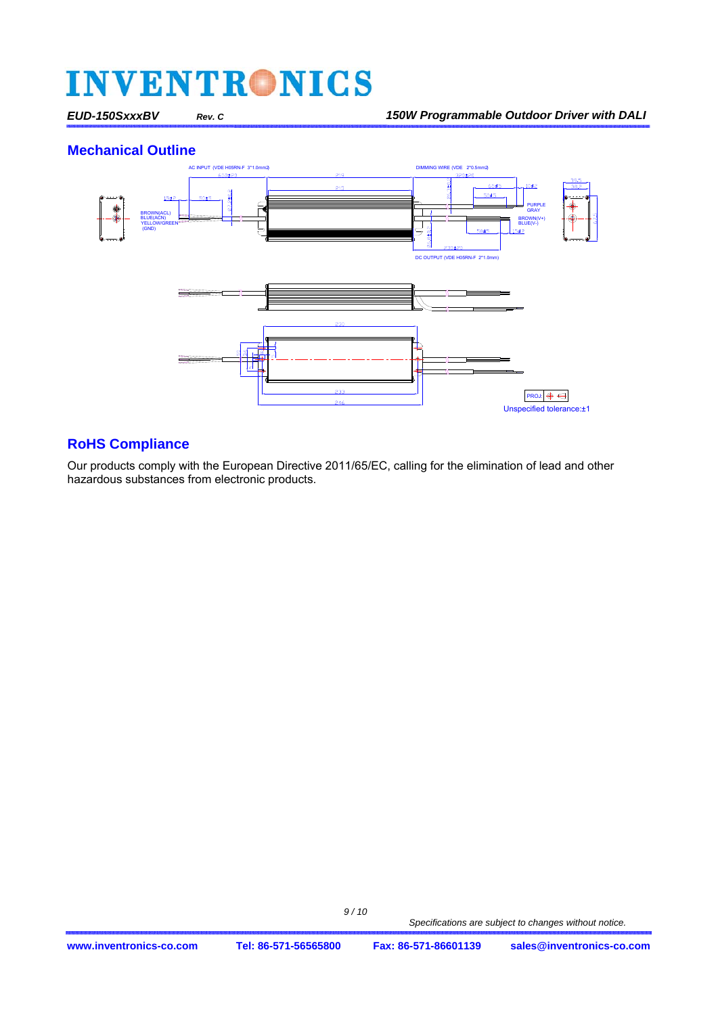#### **Mechanical Outline**



#### **RoHS Compliance**

Our products comply with the European Directive 2011/65/EC, calling for the elimination of lead and other hazardous substances from electronic products.